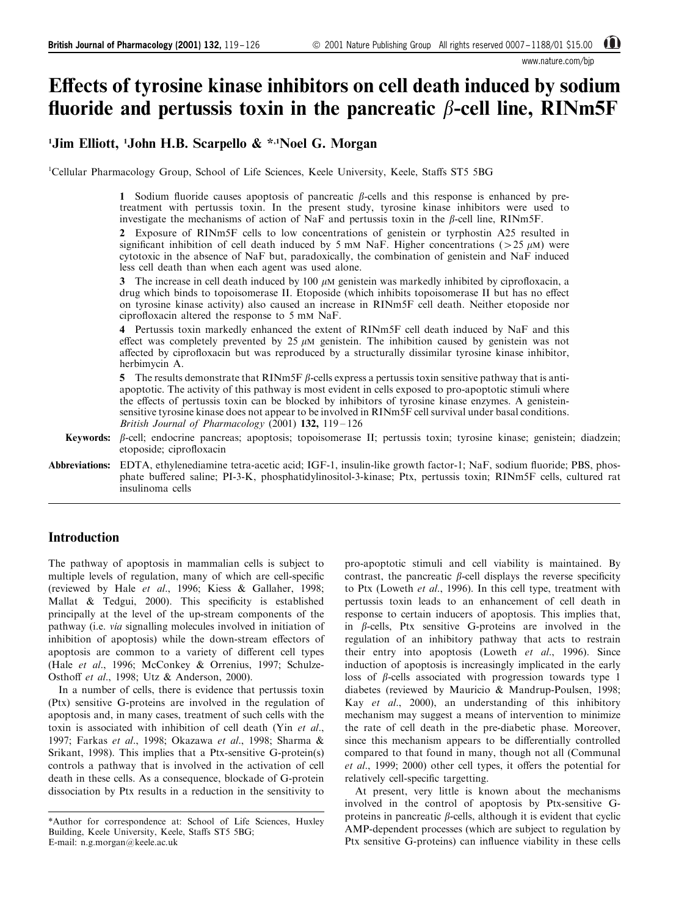www.nature.com/bjp

# Effects of tyrosine kinase inhibitors on cell death induced by sodium fluoride and pertussis toxin in the pancreatic  $\beta$ -cell line, RINm5F

# <sup>1</sup>Jim Elliott, <sup>1</sup>John H.B. Scarpello & \*<sup>,1</sup>Noel G. Morgan

<sup>1</sup>Cellular Pharmacology Group, School of Life Sciences, Keele University, Keele, Staffs ST5 5BG

1 Sodium fluoride causes apoptosis of pancreatic  $\beta$ -cells and this response is enhanced by pretreatment with pertussis toxin. In the present study, tyrosine kinase inhibitors were used to investigate the mechanisms of action of  $\text{NaF}$  and pertussis toxin in the  $\beta$ -cell line, RINm5F.

2 Exposure of RINm5F cells to low concentrations of genistein or tyrphostin A25 resulted in significant inhibition of cell death induced by 5 mM NaF. Higher concentrations ( $>$ 25  $\mu$ M) were cytotoxic in the absence of NaF but, paradoxically, the combination of genistein and NaF induced less cell death than when each agent was used alone.

3 The increase in cell death induced by 100  $\mu$ M genistein was markedly inhibited by ciprofloxacin, a drug which binds to topoisomerase II. Etoposide (which inhibits topoisomerase II but has no effect on tyrosine kinase activity) also caused an increase in RINm5F cell death. Neither etoposide nor ciprofloxacin altered the response to 5 mm NaF.

4 Pertussis toxin markedly enhanced the extent of RINm5F cell death induced by NaF and this effect was completely prevented by 25  $\mu$ M genistein. The inhibition caused by genistein was not affected by ciprofloxacin but was reproduced by a structurally dissimilar tyrosine kinase inhibitor, herbimycin A.

5 The results demonstrate that RINm5F  $\beta$ -cells express a pertussis toxin sensitive pathway that is antiapoptotic. The activity of this pathway is most evident in cells exposed to pro-apoptotic stimuli where the effects of pertussis toxin can be blocked by inhibitors of tyrosine kinase enzymes. A genisteinsensitive tyrosine kinase does not appear to be involved in RINm5F cell survival under basal conditions. British Journal of Pharmacology (2001)  $132$ ,  $119-126$ 

- Keywords:  $\beta$ -cell; endocrine pancreas; apoptosis; topoisomerase II; pertussis toxin; tyrosine kinase; genistein; diadzein; etoposide; ciprofloxacin
- Abbreviations: EDTA, ethylenediamine tetra-acetic acid; IGF-1, insulin-like growth factor-1; NaF, sodium fluoride; PBS, phosphate buffered saline; PI-3-K, phosphatidylinositol-3-kinase; Ptx, pertussis toxin; RINm5F cells, cultured rat insulinoma cells

# **Introduction**

The pathway of apoptosis in mammalian cells is subject to multiple levels of regulation, many of which are cell-specific (reviewed by Hale et al., 1996; Kiess & Gallaher, 1998; Mallat  $\&$  Tedgui, 2000). This specificity is established principally at the level of the up-stream components of the pathway (i.e. via signalling molecules involved in initiation of inhibition of apoptosis) while the down-stream effectors of apoptosis are common to a variety of different cell types (Hale et al., 1996; McConkey & Orrenius, 1997; Schulze-Osthoff et al., 1998; Utz & Anderson, 2000).

In a number of cells, there is evidence that pertussis toxin (Ptx) sensitive G-proteins are involved in the regulation of apoptosis and, in many cases, treatment of such cells with the toxin is associated with inhibition of cell death (Yin et al., 1997; Farkas et al., 1998; Okazawa et al., 1998; Sharma & Srikant, 1998). This implies that a Ptx-sensitive G-protein(s) controls a pathway that is involved in the activation of cell death in these cells. As a consequence, blockade of G-protein dissociation by Ptx results in a reduction in the sensitivity to

pro-apoptotic stimuli and cell viability is maintained. By contrast, the pancreatic  $\beta$ -cell displays the reverse specificity to Ptx (Loweth et al., 1996). In this cell type, treatment with pertussis toxin leads to an enhancement of cell death in response to certain inducers of apoptosis. This implies that, in  $\beta$ -cells, Ptx sensitive G-proteins are involved in the regulation of an inhibitory pathway that acts to restrain their entry into apoptosis (Loweth et al., 1996). Since induction of apoptosis is increasingly implicated in the early loss of  $\beta$ -cells associated with progression towards type 1 diabetes (reviewed by Mauricio & Mandrup-Poulsen, 1998; Kay et al., 2000), an understanding of this inhibitory mechanism may suggest a means of intervention to minimize the rate of cell death in the pre-diabetic phase. Moreover, since this mechanism appears to be differentially controlled compared to that found in many, though not all (Communal *et al.*, 1999; 2000) other cell types, it offers the potential for relatively cell-specific targetting.

At present, very little is known about the mechanisms involved in the control of apoptosis by Ptx-sensitive Gproteins in pancreatic  $\beta$ -cells, although it is evident that cyclic AMP-dependent processes (which are subject to regulation by Ptx sensitive G-proteins) can influence viability in these cells

<sup>\*</sup>Author for correspondence at: School of Life Sciences, Huxley Building, Keele University, Keele, Staffs ST5 5BG; E-mail: n.g.morgan@keele.ac.uk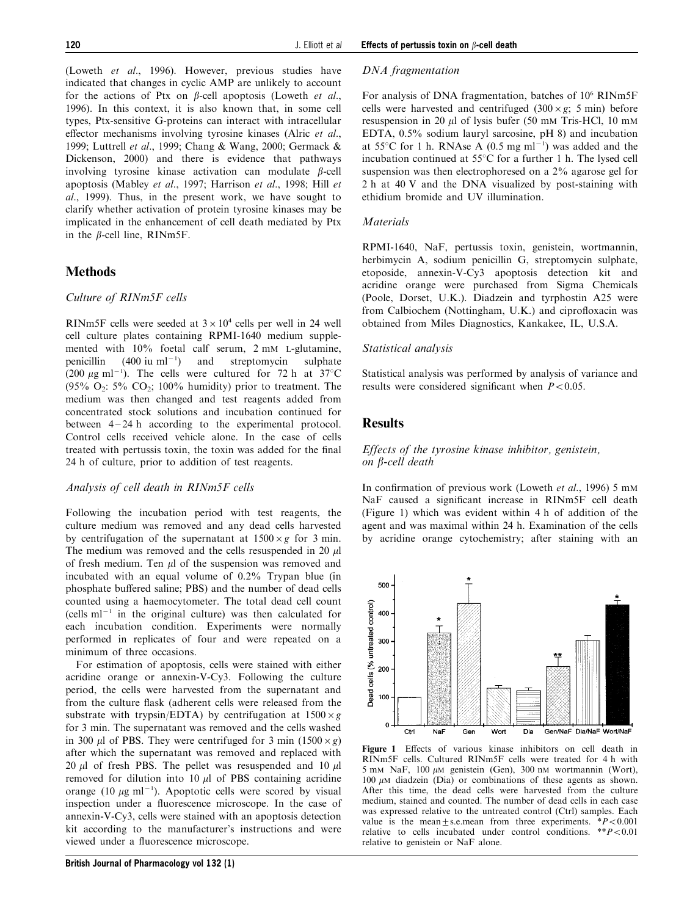(Loweth et al., 1996). However, previous studies have indicated that changes in cyclic AMP are unlikely to account for the actions of Ptx on  $\beta$ -cell apoptosis (Loweth et al., 1996). In this context, it is also known that, in some cell types, Ptx-sensitive G-proteins can interact with intracellular effector mechanisms involving tyrosine kinases (Alric et al., 1999; Luttrell et al., 1999; Chang & Wang, 2000; Germack & Dickenson, 2000) and there is evidence that pathways involving tyrosine kinase activation can modulate  $\beta$ -cell apoptosis (Mabley et al., 1997; Harrison et al., 1998; Hill et al., 1999). Thus, in the present work, we have sought to clarify whether activation of protein tyrosine kinases may be implicated in the enhancement of cell death mediated by Ptx in the  $\beta$ -cell line, RINm5F.

# **Methods**

#### Culture of RINm5F cells

RINm5F cells were seeded at  $3 \times 10^4$  cells per well in 24 well cell culture plates containing RPMI-1640 medium supplemented with 10% foetal calf serum, 2 mM L-glutamine, penicillin  $(400 \text{ iu m}]^{-1}$ ) ) and streptomycin sulphate (200  $\mu$ g ml<sup>-1</sup>). The cells were cultured for 72 h at 37°C  $(95\% \text{ O}_2)$ :  $5\%$  CO<sub>2</sub>; 100% humidity) prior to treatment. The medium was then changed and test reagents added from concentrated stock solutions and incubation continued for between  $4-24$  h according to the experimental protocol. Control cells received vehicle alone. In the case of cells treated with pertussis toxin, the toxin was added for the final 24 h of culture, prior to addition of test reagents.

#### Analysis of cell death in RINm5F cells

Following the incubation period with test reagents, the culture medium was removed and any dead cells harvested by centrifugation of the supernatant at  $1500 \times g$  for 3 min. The medium was removed and the cells resuspended in 20  $\mu$ l of fresh medium. Ten  $\mu$ l of the suspension was removed and incubated with an equal volume of 0.2% Trypan blue (in phosphate buffered saline; PBS) and the number of dead cells counted using a haemocytometer. The total dead cell count  $(cells ml<sup>-1</sup>$  in the original culture) was then calculated for each incubation condition. Experiments were normally performed in replicates of four and were repeated on a minimum of three occasions.

For estimation of apoptosis, cells were stained with either acridine orange or annexin-V-Cy3. Following the culture period, the cells were harvested from the supernatant and from the culture flask (adherent cells were released from the substrate with trypsin/EDTA) by centrifugation at  $1500 \times g$ for 3 min. The supernatant was removed and the cells washed in 300  $\mu$ l of PBS. They were centrifuged for 3 min (1500 × g) after which the supernatant was removed and replaced with 20  $\mu$ l of fresh PBS. The pellet was resuspended and 10  $\mu$ l removed for dilution into 10  $\mu$ l of PBS containing acridine orange (10  $\mu$ g ml<sup>-1</sup>). Apoptotic cells were scored by visual inspection under a fluorescence microscope. In the case of annexin-V-Cy3, cells were stained with an apoptosis detection kit according to the manufacturer's instructions and were viewed under a fluorescence microscope.

## DNA fragmentation

For analysis of DNA fragmentation, batches of 10<sup>6</sup> RINm5F cells were harvested and centrifuged  $(300 \times g; 5 \text{ min})$  before resuspension in 20  $\mu$ l of lysis bufer (50 mM Tris-HCl, 10 mM EDTA, 0.5% sodium lauryl sarcosine, pH 8) and incubation at 55 $\degree$ C for 1 h. RNAse A (0.5 mg ml<sup>-1</sup>) was added and the incubation continued at  $55^{\circ}$ C for a further 1 h. The lysed cell suspension was then electrophoresed on a 2% agarose gel for 2 h at 40 V and the DNA visualized by post-staining with ethidium bromide and UV illumination.

#### **Materials**

RPMI-1640, NaF, pertussis toxin, genistein, wortmannin, herbimycin A, sodium penicillin G, streptomycin sulphate, etoposide, annexin-V-Cy3 apoptosis detection kit and acridine orange were purchased from Sigma Chemicals (Poole, Dorset, U.K.). Diadzein and tyrphostin A25 were from Calbiochem (Nottingham, U.K.) and ciprofloxacin was obtained from Miles Diagnostics, Kankakee, IL, U.S.A.

#### Statistical analysis

Statistical analysis was performed by analysis of variance and results were considered significant when  $P < 0.05$ .

## **Results**

500

400

300

200

#### Effects of the tyrosine kinase inhibitor, genistein, on b-cell death

In confirmation of previous work (Loweth et al., 1996) 5 mM NaF caused a significant increase in RINm5F cell death (Figure 1) which was evident within 4 h of addition of the agent and was maximal within 24 h. Examination of the cells by acridine orange cytochemistry; after staining with an



relative to genistein or NaF alone.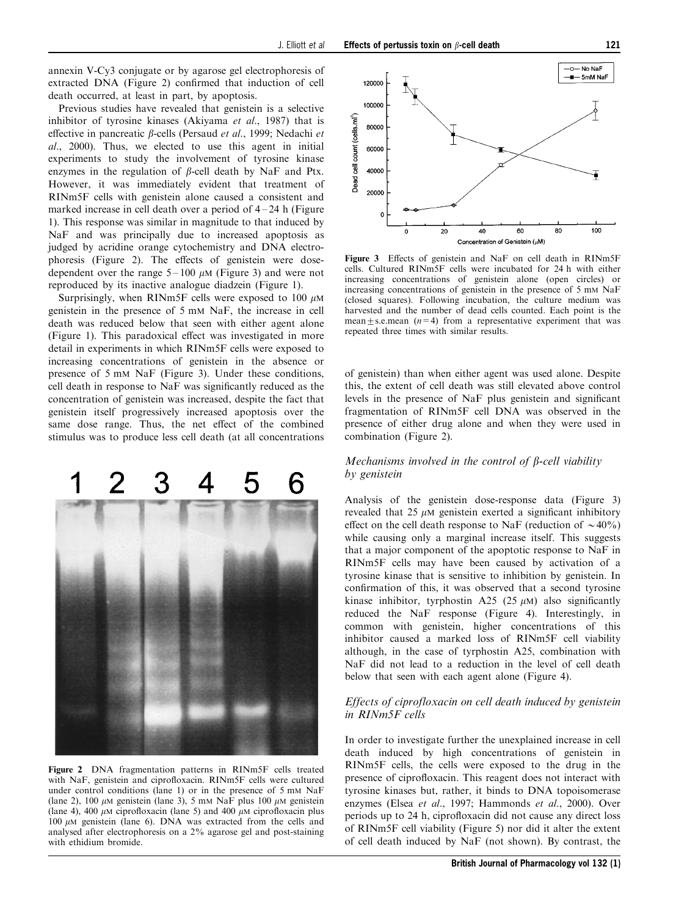annexin V-Cy3 conjugate or by agarose gel electrophoresis of extracted DNA (Figure 2) confirmed that induction of cell death occurred, at least in part, by apoptosis.

Previous studies have revealed that genistein is a selective inhibitor of tyrosine kinases (Akiyama et al., 1987) that is effective in pancreatic  $\beta$ -cells (Persaud *et al.*, 1999; Nedachi *et* al., 2000). Thus, we elected to use this agent in initial experiments to study the involvement of tyrosine kinase enzymes in the regulation of  $\beta$ -cell death by NaF and Ptx. However, it was immediately evident that treatment of RINm5F cells with genistein alone caused a consistent and marked increase in cell death over a period of  $4-24$  h (Figure 1). This response was similar in magnitude to that induced by NaF and was principally due to increased apoptosis as judged by acridine orange cytochemistry and DNA electrophoresis (Figure 2). The effects of genistein were dosedependent over the range  $5 - 100 \mu M$  (Figure 3) and were not reproduced by its inactive analogue diadzein (Figure 1).

Surprisingly, when RINm5F cells were exposed to 100  $\mu$ M genistein in the presence of 5 mM NaF, the increase in cell death was reduced below that seen with either agent alone (Figure 1). This paradoxical effect was investigated in more detail in experiments in which RINm5F cells were exposed to increasing concentrations of genistein in the absence or presence of 5 mM NaF (Figure 3). Under these conditions, cell death in response to NaF was significantly reduced as the concentration of genistein was increased, despite the fact that genistein itself progressively increased apoptosis over the same dose range. Thus, the net effect of the combined stimulus was to produce less cell death (at all concentrations



Figure 2 DNA fragmentation patterns in RINm5F cells treated with NaF, genistein and ciprofloxacin. RINm5F cells were cultured under control conditions (lane 1) or in the presence of 5 mm NaF (lane 2), 100  $\mu$ M genistein (lane 3), 5 mM NaF plus 100  $\mu$ M genistein (lane 4), 400  $\mu$ M ciprofloxacin (lane 5) and 400  $\mu$ M ciprofloxacin plus 100  $\mu$ M genistein (lane 6). DNA was extracted from the cells and analysed after electrophoresis on a 2% agarose gel and post-staining with ethidium bromide.



Figure 3 Effects of genistein and NaF on cell death in RINm5F cells. Cultured RINm5F cells were incubated for 24 h with either increasing concentrations of genistein alone (open circles) or increasing concentrations of genistein in the presence of 5 mM NaF (closed squares). Following incubation, the culture medium was harvested and the number of dead cells counted. Each point is the mean $\pm$ s.e.mean (n=4) from a representative experiment that was repeated three times with similar results.

of genistein) than when either agent was used alone. Despite this, the extent of cell death was still elevated above control levels in the presence of NaF plus genistein and significant fragmentation of RINm5F cell DNA was observed in the presence of either drug alone and when they were used in combination (Figure 2).

## Mechanisms involved in the control of  $\beta$ -cell viability by genistein

Analysis of the genistein dose-response data (Figure 3) revealed that 25  $\mu$ M genistein exerted a significant inhibitory effect on the cell death response to NaF (reduction of  $\sim$  40%) while causing only a marginal increase itself. This suggests that a major component of the apoptotic response to NaF in RINm5F cells may have been caused by activation of a tyrosine kinase that is sensitive to inhibition by genistein. In confirmation of this, it was observed that a second tyrosine kinase inhibitor, tyrphostin A25 (25  $\mu$ M) also significantly reduced the NaF response ([Figure 4](#page-3-0)). Interestingly, in common with genistein, higher concentrations of this inhibitor caused a marked loss of RINm5F cell viability although, in the case of tyrphostin A25, combination with NaF did not lead to a reduction in the level of cell death below that seen with each agent alone (Figure 4).

#### Effects of ciprofloxacin on cell death induced by genistein in RINm5F cells

In order to investigate further the unexplained increase in cell death induced by high concentrations of genistein in RINm5F cells, the cells were exposed to the drug in the presence of ciprofloxacin. This reagent does not interact with tyrosine kinases but, rather, it binds to DNA topoisomerase enzymes (Elsea et al., 1997; Hammonds et al., 2000). Over periods up to 24 h, ciprofloxacin did not cause any direct loss of RINm5F cell viability [\(Figure 5\)](#page-3-0) nor did it alter the extent of cell death induced by NaF (not shown). By contrast, the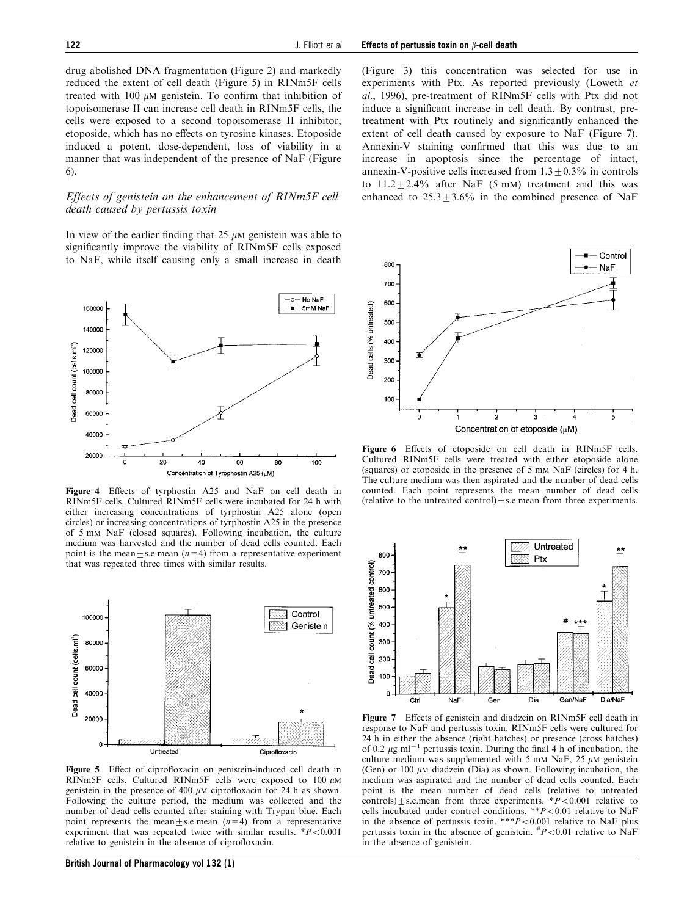<span id="page-3-0"></span>drug abolished DNA fragmentation (Figure 2) and markedly reduced the extent of cell death (Figure 5) in RINm5F cells treated with 100  $\mu$ M genistein. To confirm that inhibition of topoisomerase II can increase cell death in RINm5F cells, the cells were exposed to a second topoisomerase II inhibitor, etoposide, which has no effects on tyrosine kinases. Etoposide induced a potent, dose-dependent, loss of viability in a manner that was independent of the presence of NaF (Figure 6).

#### Effects of genistein on the enhancement of RINm5F cell death caused by pertussis toxin

In view of the earlier finding that  $25 \mu M$  genistein was able to significantly improve the viability of RINm5F cells exposed to NaF, while itself causing only a small increase in death



Figure 4 Effects of tyrphostin A25 and NaF on cell death in RINm5F cells. Cultured RINm5F cells were incubated for 24 h with either increasing concentrations of tyrphostin A25 alone (open circles) or increasing concentrations of tyrphostin A25 in the presence of 5 mM NaF (closed squares). Following incubation, the culture medium was harvested and the number of dead cells counted. Each point is the mean  $\pm$  s.e.mean (n=4) from a representative experiment that was repeated three times with similar results.



Figure 5 Effect of ciprofloxacin on genistein-induced cell death in RINm5F cells. Cultured RINm5F cells were exposed to  $100 \mu$ M genistein in the presence of 400  $\mu$ M ciprofloxacin for 24 h as shown. Following the culture period, the medium was collected and the number of dead cells counted after staining with Trypan blue. Each point represents the mean+s.e.mean  $(n=4)$  from a representative experiment that was repeated twice with similar results.  $*P<0.001$ relative to genistein in the absence of ciprofloxacin.

British Journal of Pharmacology vol 132 (1)

(Figure 3) this concentration was selected for use in experiments with Ptx. As reported previously (Loweth et al., 1996), pre-treatment of RINm5F cells with Ptx did not induce a significant increase in cell death. By contrast, pretreatment with Ptx routinely and significantly enhanced the extent of cell death caused by exposure to NaF (Figure 7). Annexin-V staining confirmed that this was due to an increase in apoptosis since the percentage of intact, annexin-V-positive cells increased from  $1.3 \pm 0.3\%$  in controls to  $11.2 \pm 2.4\%$  after NaF (5 mM) treatment and this was enhanced to  $25.3 \pm 3.6\%$  in the combined presence of NaF



Figure 6 Effects of etoposide on cell death in RINm5F cells. Cultured RINm5F cells were treated with either etoposide alone (squares) or etoposide in the presence of 5 mM NaF (circles) for 4 h. The culture medium was then aspirated and the number of dead cells counted. Each point represents the mean number of dead cells (relative to the untreated control) $\pm$  s.e.mean from three experiments.



Figure 7 Effects of genistein and diadzein on RINm5F cell death in response to NaF and pertussis toxin. RINm5F cells were cultured for 24 h in either the absence (right hatches) or presence (cross hatches) of 0.2  $\mu$ g ml<sup>-1</sup> pertussis toxin. During the final 4 h of incubation, the culture medium was supplemented with 5 mM NaF, 25  $\mu$ M genistein (Gen) or 100  $\mu$ M diadzein (Dia) as shown. Following incubation, the medium was aspirated and the number of dead cells counted. Each point is the mean number of dead cells (relative to untreated controls)+s.e.mean from three experiments.  $*P<0.001$  relative to cells incubated under control conditions. \*\* $P < 0.01$  relative to NaF in the absence of pertussis toxin. \*\*\* $P < 0.001$  relative to NaF plus pertussis toxin in the absence of genistein.  $^{#}P<0.01$  relative to NaF in the absence of genistein.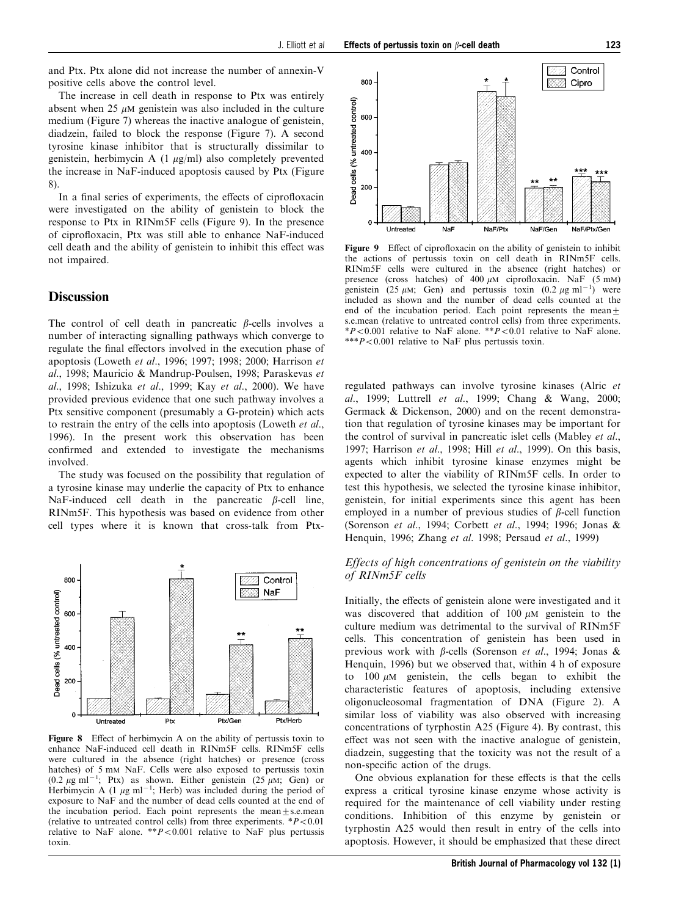and Ptx. Ptx alone did not increase the number of annexin-V positive cells above the control level.

The increase in cell death in response to Ptx was entirely absent when  $25 \mu M$  genistein was also included in the culture medium (Figure 7) whereas the inactive analogue of genistein, diadzein, failed to block the response (Figure 7). A second tyrosine kinase inhibitor that is structurally dissimilar to genistein, herbimycin A (1 mg/ml) also completely prevented the increase in NaF-induced apoptosis caused by Ptx (Figure 8).

In a final series of experiments, the effects of ciprofloxacin were investigated on the ability of genistein to block the response to Ptx in RINm5F cells (Figure 9). In the presence of ciprofloxacin, Ptx was still able to enhance NaF-induced cell death and the ability of genistein to inhibit this effect was not impaired.

## **Discussion**

The control of cell death in pancreatic  $\beta$ -cells involves a number of interacting signalling pathways which converge to regulate the final effectors involved in the execution phase of apoptosis (Loweth et al., 1996; 1997; 1998; 2000; Harrison et al., 1998; Mauricio & Mandrup-Poulsen, 1998; Paraskevas et al., 1998; Ishizuka et al., 1999; Kay et al., 2000). We have provided previous evidence that one such pathway involves a Ptx sensitive component (presumably a G-protein) which acts to restrain the entry of the cells into apoptosis (Loweth et al., 1996). In the present work this observation has been confirmed and extended to investigate the mechanisms involved.

The study was focused on the possibility that regulation of a tyrosine kinase may underlie the capacity of Ptx to enhance NaF-induced cell death in the pancreatic  $\beta$ -cell line, RINm5F. This hypothesis was based on evidence from other cell types where it is known that cross-talk from Ptx-



Figure 8 Effect of herbimycin A on the ability of pertussis toxin to enhance NaF-induced cell death in RINm5F cells. RINm5F cells were cultured in the absence (right hatches) or presence (cross hatches) of 5 mM NaF. Cells were also exposed to pertussis toxin  $(0.2 \ \mu \text{g m} \text{m}^{-1})$ ; Ptx) as shown. Either genistein  $(25 \ \mu \text{m})$ ; Gen) or Herbimycin A  $(1 \mu g \text{ ml}^{-1})$ ; Herb) was included during the period of exposure to NaF and the number of dead cells counted at the end of the incubation period. Each point represents the mean $\pm$ s.e.mean (relative to untreated control cells) from three experiments.  $*P<0.01$ relative to NaF alone. \*\*  $P < 0.001$  relative to NaF plus pertussis toxin.



Figure 9 Effect of ciprofloxacin on the ability of genistein to inhibit the actions of pertussis toxin on cell death in RINm5F cells. RINm5F cells were cultured in the absence (right hatches) or presence (cross hatches) of  $400 \mu$ M ciprofloxacin. NaF (5 mM) genistein (25  $\mu$ M; Gen) and pertussis toxin (0.2  $\mu$ g ml<sup>-1</sup>) were included as shown and the number of dead cells counted at the end of the incubation period. Each point represents the mean $+$ s.e.mean (relative to untreated control cells) from three experiments. \*P $0.001$  relative to NaF alone. \*\*P $0.01$  relative to NaF alone. \*\*\* $P < 0.001$  relative to NaF plus pertussis toxin.

regulated pathways can involve tyrosine kinases (Alric et al., 1999; Luttrell et al., 1999; Chang & Wang, 2000; Germack & Dickenson, 2000) and on the recent demonstration that regulation of tyrosine kinases may be important for the control of survival in pancreatic islet cells (Mabley et al., 1997; Harrison et al., 1998; Hill et al., 1999). On this basis, agents which inhibit tyrosine kinase enzymes might be expected to alter the viability of RINm5F cells. In order to test this hypothesis, we selected the tyrosine kinase inhibitor, genistein, for initial experiments since this agent has been employed in a number of previous studies of  $\beta$ -cell function (Sorenson et al., 1994; Corbett et al., 1994; 1996; Jonas & Henquin, 1996; Zhang et al. 1998; Persaud et al., 1999)

## Effects of high concentrations of genistein on the viability of RINm5F cells

Initially, the effects of genistein alone were investigated and it was discovered that addition of  $100 \mu M$  genistein to the culture medium was detrimental to the survival of RINm5F cells. This concentration of genistein has been used in previous work with  $\beta$ -cells (Sorenson et al., 1994; Jonas & Henquin, 1996) but we observed that, within 4 h of exposure to 100  $\mu$ M genistein, the cells began to exhibit the characteristic features of apoptosis, including extensive oligonucleosomal fragmentation of DNA (Figure 2). A similar loss of viability was also observed with increasing concentrations of tyrphostin A25 (Figure 4). By contrast, this effect was not seen with the inactive analogue of genistein, diadzein, suggesting that the toxicity was not the result of a non-specific action of the drugs.

One obvious explanation for these effects is that the cells express a critical tyrosine kinase enzyme whose activity is required for the maintenance of cell viability under resting conditions. Inhibition of this enzyme by genistein or tyrphostin A25 would then result in entry of the cells into apoptosis. However, it should be emphasized that these direct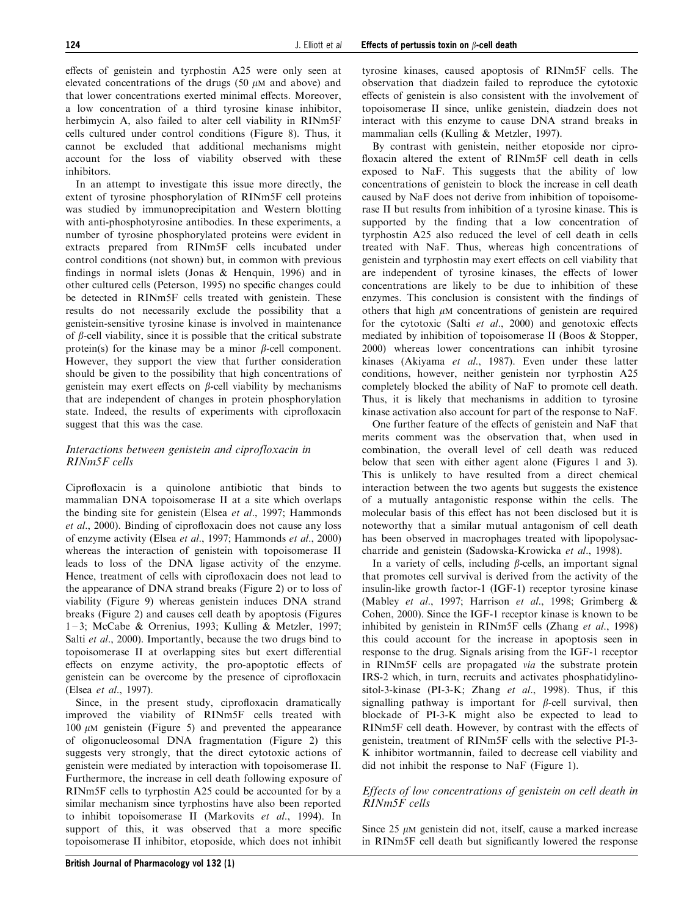effects of genistein and tyrphostin  $A25$  were only seen at elevated concentrations of the drugs (50  $\mu$ M and above) and that lower concentrations exerted minimal effects. Moreover, a low concentration of a third tyrosine kinase inhibitor, herbimycin A, also failed to alter cell viability in RINm5F cells cultured under control conditions (Figure 8). Thus, it cannot be excluded that additional mechanisms might account for the loss of viability observed with these inhibitors.

In an attempt to investigate this issue more directly, the extent of tyrosine phosphorylation of RINm5F cell proteins was studied by immunoprecipitation and Western blotting with anti-phosphotyrosine antibodies. In these experiments, a number of tyrosine phosphorylated proteins were evident in extracts prepared from RINm5F cells incubated under control conditions (not shown) but, in common with previous findings in normal islets (Jonas & Henquin, 1996) and in other cultured cells (Peterson, 1995) no specific changes could be detected in RINm5F cells treated with genistein. These results do not necessarily exclude the possibility that a genistein-sensitive tyrosine kinase is involved in maintenance of  $\beta$ -cell viability, since it is possible that the critical substrate protein(s) for the kinase may be a minor  $\beta$ -cell component. However, they support the view that further consideration should be given to the possibility that high concentrations of genistein may exert effects on  $\beta$ -cell viability by mechanisms that are independent of changes in protein phosphorylation state. Indeed, the results of experiments with ciprofloxacin suggest that this was the case.

## Interactions between genistein and ciprofloxacin in RINm5F cells

Ciprofloxacin is a quinolone antibiotic that binds to mammalian DNA topoisomerase II at a site which overlaps the binding site for genistein (Elsea et al., 1997; Hammonds  $et al., 2000$ . Binding of ciprofloxacin does not cause any loss of enzyme activity (Elsea et al., 1997; Hammonds et al., 2000) whereas the interaction of genistein with topoisomerase II leads to loss of the DNA ligase activity of the enzyme. Hence, treatment of cells with ciprofloxacin does not lead to the appearance of DNA strand breaks (Figure 2) or to loss of viability (Figure 9) whereas genistein induces DNA strand breaks (Figure 2) and causes cell death by apoptosis (Figures 1 ± 3; McCabe & Orrenius, 1993; Kulling & Metzler, 1997; Salti et al., 2000). Importantly, because the two drugs bind to topoisomerase II at overlapping sites but exert differential effects on enzyme activity, the pro-apoptotic effects of genistein can be overcome by the presence of ciprofloxacin (Elsea et al., 1997).

Since, in the present study, ciprofloxacin dramatically improved the viability of RINm5F cells treated with 100  $\mu$ M genistein (Figure 5) and prevented the appearance of oligonucleosomal DNA fragmentation (Figure 2) this suggests very strongly, that the direct cytotoxic actions of genistein were mediated by interaction with topoisomerase II. Furthermore, the increase in cell death following exposure of RINm5F cells to tyrphostin A25 could be accounted for by a similar mechanism since tyrphostins have also been reported to inhibit topoisomerase II (Markovits et al., 1994). In support of this, it was observed that a more specific topoisomerase II inhibitor, etoposide, which does not inhibit tyrosine kinases, caused apoptosis of RINm5F cells. The observation that diadzein failed to reproduce the cytotoxic effects of genistein is also consistent with the involvement of topoisomerase II since, unlike genistein, diadzein does not interact with this enzyme to cause DNA strand breaks in mammalian cells (Kulling & Metzler, 1997).

By contrast with genistein, neither etoposide nor cipro floxacin altered the extent of RINm5F cell death in cells exposed to NaF. This suggests that the ability of low concentrations of genistein to block the increase in cell death caused by NaF does not derive from inhibition of topoisomerase II but results from inhibition of a tyrosine kinase. This is supported by the finding that a low concentration of tyrphostin A25 also reduced the level of cell death in cells treated with NaF. Thus, whereas high concentrations of genistein and tyrphostin may exert effects on cell viability that are independent of tyrosine kinases, the effects of lower concentrations are likely to be due to inhibition of these enzymes. This conclusion is consistent with the findings of others that high  $\mu$ M concentrations of genistein are required for the cytotoxic (Salti  $et$  al., 2000) and genotoxic effects mediated by inhibition of topoisomerase II (Boos & Stopper, 2000) whereas lower concentrations can inhibit tyrosine kinases (Akiyama et al., 1987). Even under these latter conditions, however, neither genistein nor tyrphostin A25 completely blocked the ability of NaF to promote cell death. Thus, it is likely that mechanisms in addition to tyrosine kinase activation also account for part of the response to NaF.

One further feature of the effects of genistein and NaF that merits comment was the observation that, when used in combination, the overall level of cell death was reduced below that seen with either agent alone (Figures 1 and 3). This is unlikely to have resulted from a direct chemical interaction between the two agents but suggests the existence of a mutually antagonistic response within the cells. The molecular basis of this effect has not been disclosed but it is noteworthy that a similar mutual antagonism of cell death has been observed in macrophages treated with lipopolysaccharride and genistein (Sadowska-Krowicka et al., 1998).

In a variety of cells, including  $\beta$ -cells, an important signal that promotes cell survival is derived from the activity of the insulin-like growth factor-1 (IGF-1) receptor tyrosine kinase (Mabley et al., 1997; Harrison et al., 1998; Grimberg & Cohen, 2000). Since the IGF-1 receptor kinase is known to be inhibited by genistein in RINm5F cells (Zhang et al., 1998) this could account for the increase in apoptosis seen in response to the drug. Signals arising from the IGF-1 receptor in RINm5F cells are propagated via the substrate protein IRS-2 which, in turn, recruits and activates phosphatidylinositol-3-kinase (PI-3-K; Zhang et al., 1998). Thus, if this signalling pathway is important for  $\beta$ -cell survival, then blockade of PI-3-K might also be expected to lead to RINm5F cell death. However, by contrast with the effects of genistein, treatment of RINm5F cells with the selective PI-3- K inhibitor wortmannin, failed to decrease cell viability and did not inhibit the response to NaF (Figure 1).

## Effects of low concentrations of genistein on cell death in RINm5F cells

Since  $25 \mu M$  genistein did not, itself, cause a marked increase in RINm5F cell death but significantly lowered the response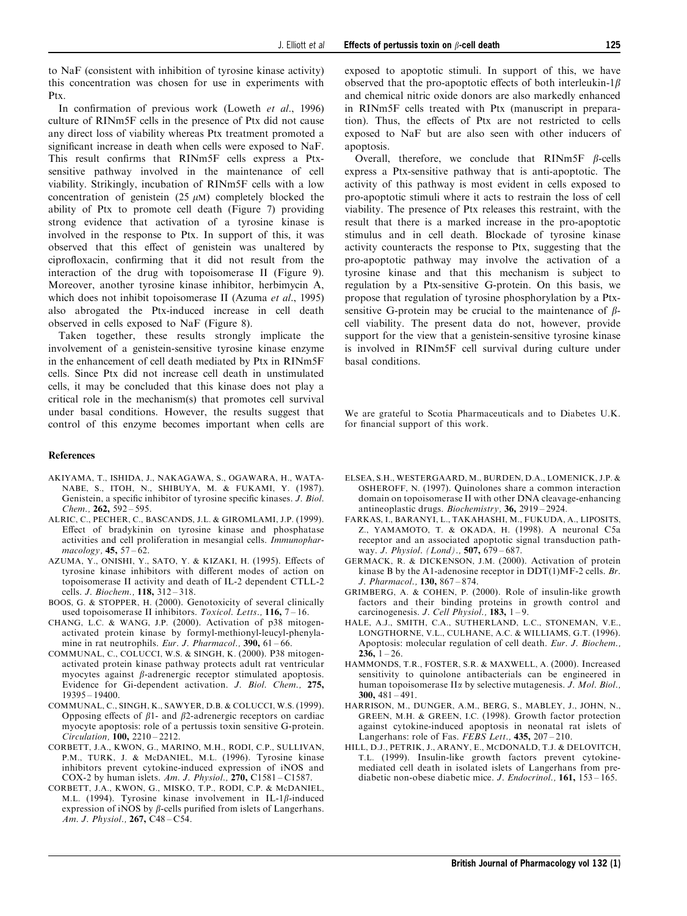to NaF (consistent with inhibition of tyrosine kinase activity) this concentration was chosen for use in experiments with Ptx.

In confirmation of previous work (Loweth et al., 1996) culture of RINm5F cells in the presence of Ptx did not cause any direct loss of viability whereas Ptx treatment promoted a significant increase in death when cells were exposed to NaF. This result confirms that RINm5F cells express a Ptxsensitive pathway involved in the maintenance of cell viability. Strikingly, incubation of RINm5F cells with a low concentration of genistein  $(25 \mu M)$  completely blocked the ability of Ptx to promote cell death (Figure 7) providing strong evidence that activation of a tyrosine kinase is involved in the response to Ptx. In support of this, it was observed that this effect of genistein was unaltered by ciprofloxacin, confirming that it did not result from the interaction of the drug with topoisomerase II (Figure 9). Moreover, another tyrosine kinase inhibitor, herbimycin A, which does not inhibit topoisomerase II (Azuma et al., 1995) also abrogated the Ptx-induced increase in cell death observed in cells exposed to NaF (Figure 8).

Taken together, these results strongly implicate the involvement of a genistein-sensitive tyrosine kinase enzyme in the enhancement of cell death mediated by Ptx in RINm5F cells. Since Ptx did not increase cell death in unstimulated cells, it may be concluded that this kinase does not play a critical role in the mechanism(s) that promotes cell survival under basal conditions. However, the results suggest that control of this enzyme becomes important when cells are

#### References

- AKIYAMA, T., ISHIDA, J., NAKAGAWA, S., OGAWARA, H., WATA-NABE, S., ITOH, N., SHIBUYA, M. & FUKAMI, Y. (1987). Genistein, a specific inhibitor of tyrosine specific kinases.  $J.$  Biol. Chem.,  $262$ ,  $592 - 595$ .
- ALRIC, C., PECHER, C., BASCANDS, J.L. & GIROMLAMI, J.P. (1999). Effect of bradykinin on tyrosine kinase and phosphatase activities and cell proliferation in mesangial cells. Immunophar $macology, 45, 57 - 62.$
- AZUMA, Y., ONISHI, Y., SATO, Y. & KIZAKI, H. (1995). Effects of tyrosine kinase inhibitors with different modes of action on topoisomerase II activity and death of IL-2 dependent CTLL-2 cells. J. Biochem., 118, 312-318.
- BOOS, G. & STOPPER, H. (2000). Genotoxicity of several clinically used topoisomerase II inhibitors. Toxicol. Letts.,  $116$ ,  $7 - 16$ .
- CHANG, L.C. & WANG, J.P. (2000). Activation of p38 mitogenactivated protein kinase by formyl-methionyl-leucyl-phenylamine in rat neutrophils. Eur. J. Pharmacol.,  $390, 61 - 66$ .
- COMMUNAL, C., COLUCCI, W.S. & SINGH, K. (2000). P38 mitogenactivated protein kinase pathway protects adult rat ventricular myocytes against  $\beta$ -adrenergic receptor stimulated apoptosis. Evidence for Gi-dependent activation. J. Biol. Chem., 275,  $19395 - 19400$
- COMMUNAL, C., SINGH, K., SAWYER, D.B. & COLUCCI, W.S. (1999). Opposing effects of  $\beta$ 1- and  $\beta$ 2-adrenergic receptors on cardiac myocyte apoptosis: role of a pertussis toxin sensitive G-protein.  $Circulation, 100, 2210 - 2212.$
- CORBETT, J.A., KWON, G., MARINO, M.H., RODI, C.P., SULLIVAN, P.M., TURK, J. & McDANIEL, M.L. (1996). Tyrosine kinase inhibitors prevent cytokine-induced expression of iNOS and COX-2 by human islets. Am. J. Physiol.,  $270$ , C1581 - C1587.
- CORBETT, J.A., KWON, G., MISKO, T.P., RODI, C.P. & McDANIEL, M.L. (1994). Tyrosine kinase involvement in IL-1 $\beta$ -induced expression of iNOS by  $\beta$ -cells purified from islets of Langerhans. Am. J. Physiol., 267, C48-C54.

exposed to apoptotic stimuli. In support of this, we have observed that the pro-apoptotic effects of both interleukin-1 $\beta$ and chemical nitric oxide donors are also markedly enhanced in RINm5F cells treated with Ptx (manuscript in preparation). Thus, the effects of Ptx are not restricted to cells exposed to NaF but are also seen with other inducers of apoptosis.

Overall, therefore, we conclude that  $RINm5F$   $\beta$ -cells express a Ptx-sensitive pathway that is anti-apoptotic. The activity of this pathway is most evident in cells exposed to pro-apoptotic stimuli where it acts to restrain the loss of cell viability. The presence of Ptx releases this restraint, with the result that there is a marked increase in the pro-apoptotic stimulus and in cell death. Blockade of tyrosine kinase activity counteracts the response to Ptx, suggesting that the pro-apoptotic pathway may involve the activation of a tyrosine kinase and that this mechanism is subject to regulation by a Ptx-sensitive G-protein. On this basis, we propose that regulation of tyrosine phosphorylation by a Ptxsensitive G-protein may be crucial to the maintenance of  $\beta$ cell viability. The present data do not, however, provide support for the view that a genistein-sensitive tyrosine kinase is involved in RINm5F cell survival during culture under basal conditions.

We are grateful to Scotia Pharmaceuticals and to Diabetes U.K. for financial support of this work.

- ELSEA, S.H., WESTERGAARD, M., BURDEN, D.A., LOMENICK, J.P. & OSHEROFF, N. (1997). Quinolones share a common interaction domain on topoisomerase II with other DNA cleavage-enhancing antineoplastic drugs. Biochemistry, 36, 2919 – 2924.
- FARKAS, I., BARANYI, L., TAKAHASHI, M., FUKUDA, A., LIPOSITS, Z., YAMAMOTO, T. & OKADA, H. (1998). A neuronal C5a receptor and an associated apoptotic signal transduction pathway. J. Physiol. (Lond).,  $507, 679 - 687$ .
- GERMACK, R. & DICKENSON, J.M. (2000). Activation of protein kinase B by the A1-adenosine receptor in DDT(1)MF-2 cells. Br. J. Pharmacol., 130, 867-874.
- GRIMBERG, A. & COHEN, P. (2000). Role of insulin-like growth factors and their binding proteins in growth control and carcinogenesis. J. Cell Physiol.,  $183$ ,  $1-9$ .
- HALE, A.J., SMITH, C.A., SUTHERLAND, L.C., STONEMAN, V.E., LONGTHORNE, V.L., CULHANE, A.C. & WILLIAMS, G.T. (1996). Apoptosis: molecular regulation of cell death. Eur. J. Biochem.,  $236, 1 - 26.$
- HAMMONDS, T.R., FOSTER, S.R. & MAXWELL, A. (2000). Increased sensitivity to quinolone antibacterials can be engineered in human topoisomerase II<sub>x</sub> by selective mutagenesis. *J. Mol. Biol.*, 300,  $481 - 491$ .
- HARRISON, M., DUNGER, A.M., BERG, S., MABLEY, J., JOHN, N., GREEN, M.H. & GREEN, I.C. (1998). Growth factor protection against cytokine-induced apoptosis in neonatal rat islets of Langerhans: role of Fas. FEBS Lett.,  $435$ ,  $207 - 210$ .
- HILL, D.J., PETRIK, J., ARANY, E., MCDONALD, T.J. & DELOVITCH, T.L. (1999). Insulin-like growth factors prevent cytokinemediated cell death in isolated islets of Langerhans from prediabetic non-obese diabetic mice. J. Endocrinol.,  $161$ ,  $153 - 165$ .